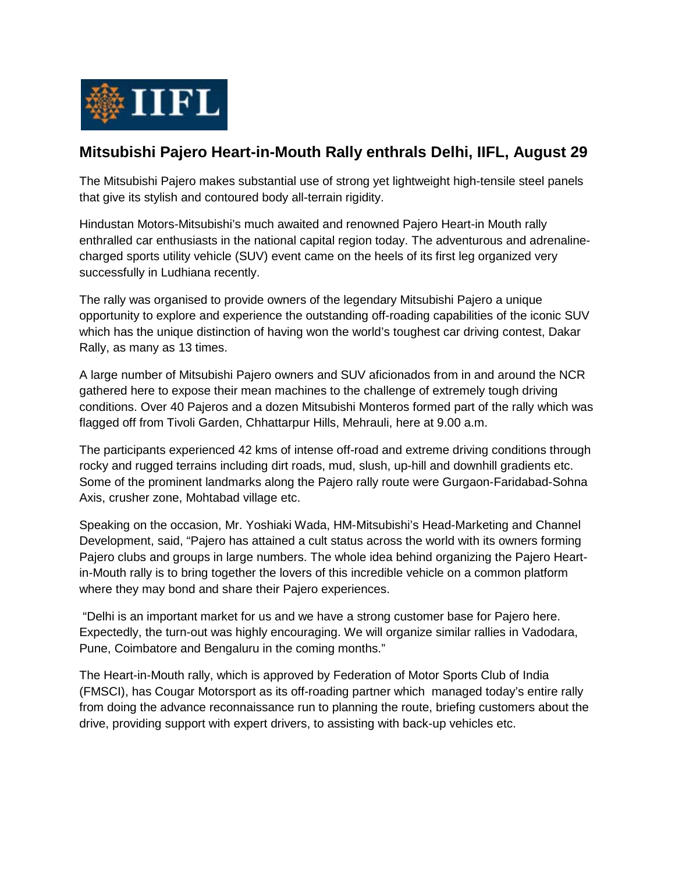

## **Mitsubishi Pajero Heart-in-Mouth Rally enthrals Delhi, IIFL, August 29**

The Mitsubishi Pajero makes substantial use of strong yet lightweight high-tensile steel panels that give its stylish and contoured body all-terrain rigidity.

Hindustan Motors-Mitsubishi's much awaited and renowned Pajero Heart-in Mouth rally enthralled car enthusiasts in the national capital region today. The adventurous and adrenalinecharged sports utility vehicle (SUV) event came on the heels of its first leg organized very successfully in Ludhiana recently.

The rally was organised to provide owners of the legendary Mitsubishi Pajero a unique opportunity to explore and experience the outstanding off-roading capabilities of the iconic SUV which has the unique distinction of having won the world's toughest car driving contest, Dakar Rally, as many as 13 times.

A large number of Mitsubishi Pajero owners and SUV aficionados from in and around the NCR gathered here to expose their mean machines to the challenge of extremely tough driving conditions. Over 40 Pajeros and a dozen Mitsubishi Monteros formed part of the rally which was flagged off from Tivoli Garden, Chhattarpur Hills, Mehrauli, here at 9.00 a.m.

The participants experienced 42 kms of intense off-road and extreme driving conditions through rocky and rugged terrains including dirt roads, mud, slush, up-hill and downhill gradients etc. Some of the prominent landmarks along the Pajero rally route were Gurgaon-Faridabad-Sohna Axis, crusher zone, Mohtabad village etc.

Speaking on the occasion, Mr. Yoshiaki Wada, HM-Mitsubishi's Head-Marketing and Channel Development, said, "Pajero has attained a cult status across the world with its owners forming Pajero clubs and groups in large numbers. The whole idea behind organizing the Pajero Heartin-Mouth rally is to bring together the lovers of this incredible vehicle on a common platform where they may bond and share their Pajero experiences.

"Delhi is an important market for us and we have a strong customer base for Pajero here. Expectedly, the turn-out was highly encouraging. We will organize similar rallies in Vadodara, Pune, Coimbatore and Bengaluru in the coming months."

The Heart-in-Mouth rally, which is approved by Federation of Motor Sports Club of India (FMSCI), has Cougar Motorsport as its off-roading partner which managed today's entire rally from doing the advance reconnaissance run to planning the route, briefing customers about the drive, providing support with expert drivers, to assisting with back-up vehicles etc.